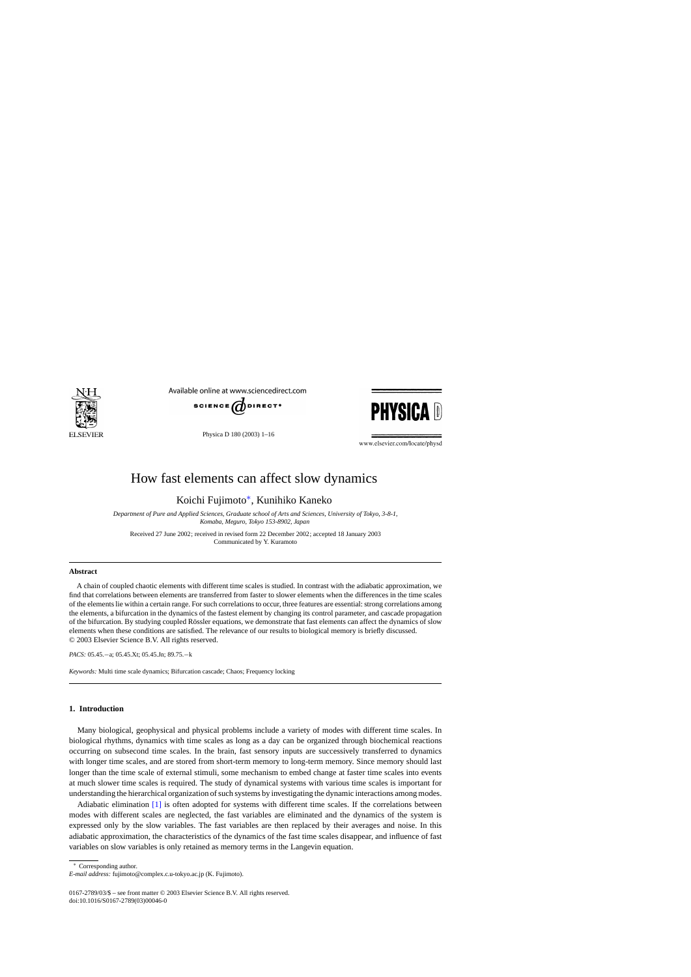

Available online at www.sciencedirect.com



Physica D 180 (2003) 1–16



www.elsevier.com/locate/physd

# How fast elements can affect slow dynamics

Koichi Fujimoto∗, Kunihiko Kaneko

*Department of Pure and Applied Sciences, Graduate school of Arts and Sciences, University of Tokyo, 3-8-1, Komaba, Meguro, Tokyo 153-8902, Japan*

Received 27 June 2002; received in revised form 22 December 2002; accepted 18 January 2003 Communicated by Y. Kuramoto

# **Abstract**

A chain of coupled chaotic elements with different time scales is studied. In contrast with the adiabatic approximation, we find that correlations between elements are transferred from faster to slower elements when the differences in the time scales of the elements lie within a certain range. For such correlations to occur, three features are essential: strong correlations among the elements, a bifurcation in the dynamics of the fastest element by changing its control parameter, and cascade propagation of the bifurcation. By studying coupled Rössler equations, we demonstrate that fast elements can affect the dynamics of slow elements when these conditions are satisfied. The relevance of our results to biological memory is briefly discussed. © 2003 Elsevier Science B.V. All rights reserved.

*PACS:* 05.45.−a; 05.45.Xt; 05.45.Jn; 89.75.−k

*Keywords:* Multi time scale dynamics; Bifurcation cascade; Chaos; Frequency locking

# **1. Introduction**

Many biological, geophysical and physical problems include a variety of modes with different time scales. In biological rhythms, dynamics with time scales as long as a day can be organized through biochemical reactions occurring on subsecond time scales. In the brain, fast sensory inputs are successively transferred to dynamics with longer time scales, and are stored from short-term memory to long-term memory. Since memory should last longer than the time scale of external stimuli, some mechanism to embed change at faster time scales into events at much slower time scales is required. The study of dynamical systems with various time scales is important for understanding the hierarchical organization of such systems by investigating the dynamic interactions among modes.

Adiabatic elimination [\[1\]](#page-15-0) is often adopted for systems with different time scales. If the correlations between modes with different scales are neglected, the fast variables are eliminated and the dynamics of the system is expressed only by the slow variables. The fast variables are then replaced by their averages and noise. In this adiabatic approximation, the characteristics of the dynamics of the fast time scales disappear, and influence of fast variables on slow variables is only retained as memory terms in the Langevin equation.

∗ Corresponding author.

*E-mail address:* fujimoto@complex.c.u-tokyo.ac.jp (K. Fujimoto).

<sup>0167-2789/03/\$ –</sup> see front matter © 2003 Elsevier Science B.V. All rights reserved. doi:10.1016/S0167-2789(03)00046-0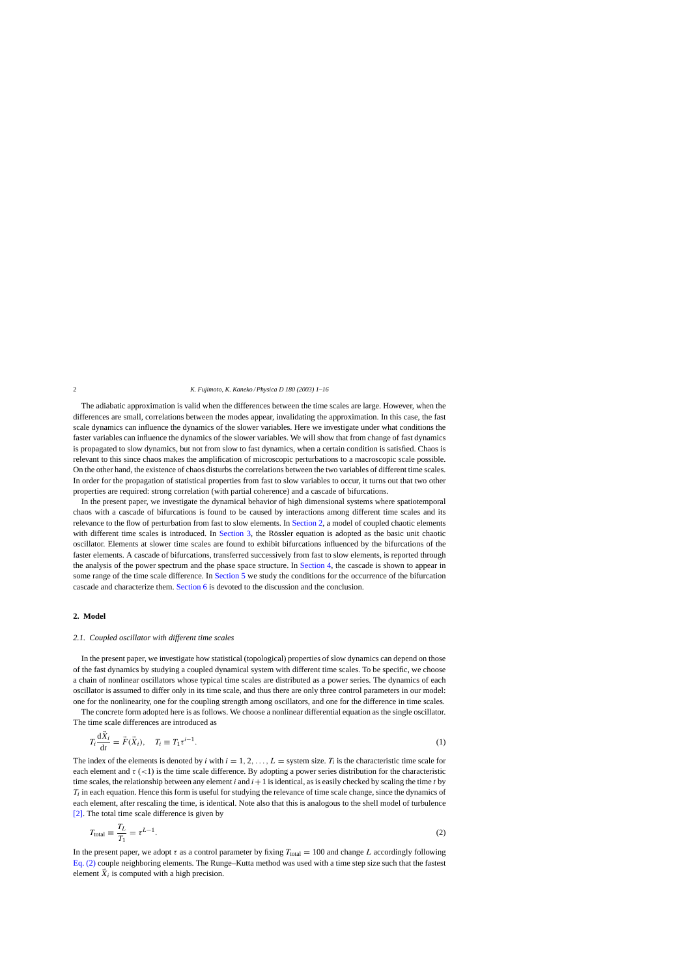#### 2 *K. Fujimoto, K. Kaneko / Physica D 180 (2003) 1–16*

The adiabatic approximation is valid when the differences between the time scales are large. However, when the differences are small, correlations between the modes appear, invalidating the approximation. In this case, the fast scale dynamics can influence the dynamics of the slower variables. Here we investigate under what conditions the faster variables can influence the dynamics of the slower variables. We will show that from change of fast dynamics is propagated to slow dynamics, but not from slow to fast dynamics, when a certain condition is satisfied. Chaos is relevant to this since chaos makes the amplification of microscopic perturbations to a macroscopic scale possible. On the other hand, the existence of chaos disturbs the correlations between the two variables of different time scales. In order for the propagation of statistical properties from fast to slow variables to occur, it turns out that two other properties are required: strong correlation (with partial coherence) and a cascade of bifurcations.

In the present paper, we investigate the dynamical behavior of high dimensional systems where spatiotemporal chaos with a cascade of bifurcations is found to be caused by interactions among different time scales and its relevance to the flow of perturbation from fast to slow elements. In Section 2, a model of coupled chaotic elements with different time scales is introduced. In [Section 3,](#page-3-0) the Rössler equation is adopted as the basic unit chaotic oscillator. Elements at slower time scales are found to exhibit bifurcations influenced by the bifurcations of the faster elements. A cascade of bifurcations, transferred successively from fast to slow elements, is reported through the analysis of the power spectrum and the phase space structure. In [Section 4,](#page-9-0) the cascade is shown to appear in some range of the time scale difference. In [Section 5](#page-10-0) we study the conditions for the occurrence of the bifurcation cascade and characterize them. [Section 6](#page-13-0) is devoted to the discussion and the conclusion.

# **2. Model**

## *2.1. Coupled oscillator with different time scales*

In the present paper, we investigate how statistical (topological) properties of slow dynamics can depend on those of the fast dynamics by studying a coupled dynamical system with different time scales. To be specific, we choose a chain of nonlinear oscillators whose typical time scales are distributed as a power series. The dynamics of each oscillator is assumed to differ only in its time scale, and thus there are only three control parameters in our model: one for the nonlinearity, one for the coupling strength among oscillators, and one for the difference in time scales.

The concrete form adopted here is as follows. We choose a nonlinear differential equation as the single oscillator. The time scale differences are introduced as

$$
T_i \frac{\mathrm{d}X_i}{\mathrm{d}t} = \vec{F}(\vec{X}_i), \quad T_i \equiv T_1 \tau^{i-1}.
$$

The index of the elements is denoted by i with  $i = 1, 2, \ldots, L =$  system size.  $T_i$  is the characteristic time scale for each element and  $\tau$  (<1) is the time scale difference. By adopting a power series distribution for the characteristic time scales, the relationship between any element i and  $i+1$  is identical, as is easily checked by scaling the time t by  $T_i$  in each equation. Hence this form is useful for studying the relevance of time scale change, since the dynamics of each element, after rescaling the time, is identical. Note also that this is analogous to the shell model of turbulence [\[2\]. T](#page-15-0)he total time scale difference is given by

$$
T_{\text{total}} \equiv \frac{T_L}{T_1} = \tau^{L-1}.
$$
\n<sup>(2)</sup>

In the present paper, we adopt  $\tau$  as a control parameter by fixing  $T_{\text{total}} = 100$  and change L accordingly following Eq. (2) couple neighboring elements. The Runge–Kutta method was used with a time step size such that the fastest element  $\hat{X}_i$  is computed with a high precision.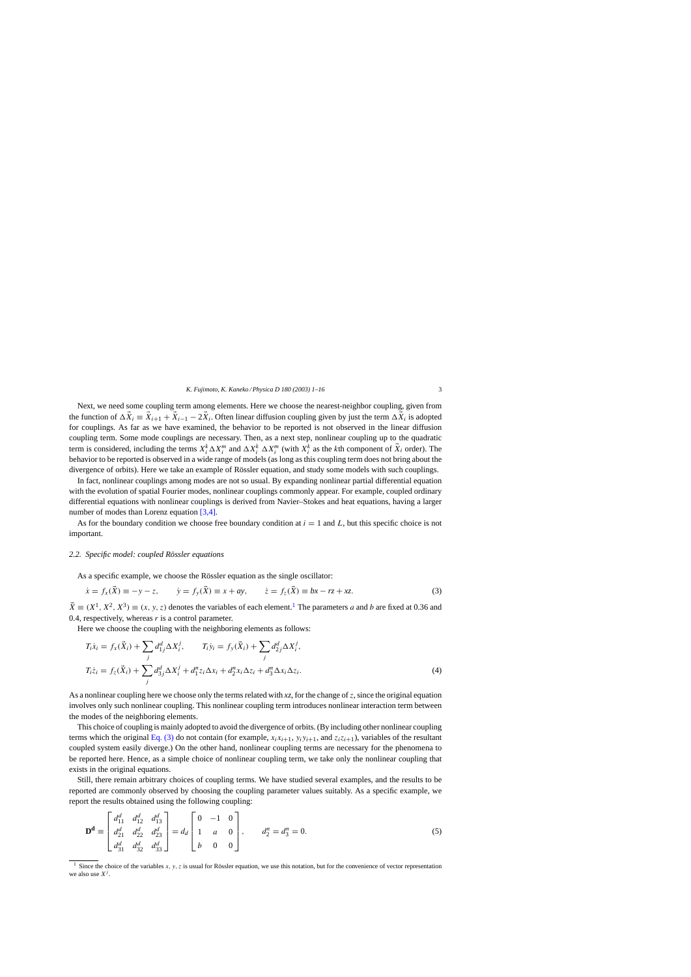<span id="page-2-0"></span>Next, we need some coupling term among elements. Here we choose the nearest-neighbor coupling, given from the function of  $\Delta \vec{X}_i = \vec{X}_{i+1} + \vec{X}_{i-1} - 2\vec{X}_i$ . Often linear diffusion coupling given by just the term  $\Delta \vec{X}_i$  is adopted for couplings. As far as we have examined, the behavior to be reported is not observed in the linear diffusion coupling term. Some mode couplings are necessary. Then, as a next step, nonlinear coupling up to the quadratic term is considered, including the terms  $X_i^k \Delta X_i^m$  and  $\Delta X_i^k \Delta X_i^m$  (with  $X_i^k$  as the kth component of  $\vec{X}_i$  order). The behavior to be reported is observed in a wide range of models (as long as this coupling term does not bring about the divergence of orbits). Here we take an example of Rössler equation, and study some models with such couplings.

In fact, nonlinear couplings among modes are not so usual. By expanding nonlinear partial differential equation with the evolution of spatial Fourier modes, nonlinear couplings commonly appear. For example, coupled ordinary differential equations with nonlinear couplings is derived from Navier–Stokes and heat equations, having a larger number of modes than Lorenz equation [\[3,4\].](#page-15-0)

As for the boundary condition we choose free boundary condition at  $i = 1$  and L, but this specific choice is not important.

# *2.2. Specific model: coupled Rössler equations*

As a specific example, we choose the Rössler equation as the single oscillator:

$$
\dot{x} = f_x(\tilde{X}) \equiv -y - z,
$$
  $\dot{y} = f_y(\tilde{X}) \equiv x + ay,$   $\dot{z} = f_z(\tilde{X}) \equiv bx - rz + xz.$  (3)

 $\vec{X} \equiv (X^1, X^2, X^3) \equiv (x, y, z)$  denotes the variables of each element.<sup>1</sup> The parameters a and b are fixed at 0.36 and 0.4, respectively, whereas  $r$  is a control parameter.

Here we choose the coupling with the neighboring elements as follows:

$$
T_i \dot{x}_i = f_x(\vec{X}_i) + \sum_j d_{1j}^d \Delta X_i^j, \qquad T_i \dot{y}_i = f_y(\vec{X}_i) + \sum_j d_{2j}^d \Delta X_i^j,
$$
  

$$
T_i \dot{z}_i = f_z(\vec{X}_i) + \sum_j d_{3j}^d \Delta X_i^j + d_1^n z_i \Delta x_i + d_2^n x_i \Delta z_i + d_3^n \Delta x_i \Delta z_i.
$$

$$
(4)
$$

As a nonlinear coupling here we choose only the terms related with  $xz$ , for the change of  $z$ , since the original equation involves only such nonlinear coupling. This nonlinear coupling term introduces nonlinear interaction term between the modes of the neighboring elements.

This choice of coupling is mainly adopted to avoid the divergence of orbits. (By including other nonlinear coupling terms which the original Eq. (3) do not contain (for example,  $x_i x_{i+1}$ ,  $y_i y_{i+1}$ , and  $z_i z_{i+1}$ ), variables of the resultant coupled system easily diverge.) On the other hand, nonlinear coupling terms are necessary for the phenomena to be reported here. Hence, as a simple choice of nonlinear coupling term, we take only the nonlinear coupling that exists in the original equations.

Still, there remain arbitrary choices of coupling terms. We have studied several examples, and the results to be reported are commonly observed by choosing the coupling parameter values suitably. As a specific example, we report the results obtained using the following coupling:

$$
\mathbf{D}^{\mathbf{d}} \equiv \begin{bmatrix} d_{11}^{d} & d_{12}^{d} & d_{13}^{d} \\ d_{21}^{d} & d_{22}^{d} & d_{23}^{d} \\ d_{31}^{d} & d_{32}^{d} & d_{33}^{d} \end{bmatrix} = d_d \begin{bmatrix} 0 & -1 & 0 \\ 1 & a & 0 \\ b & 0 & 0 \end{bmatrix}, \qquad d_2^{n} = d_3^{n} = 0.
$$
 (5)

<sup>&</sup>lt;sup>1</sup> Since the choice of the variables  $x, y, z$  is usual for Rössler equation, we use this notation, but for the convenience of vector representation we also use  $X^j$ .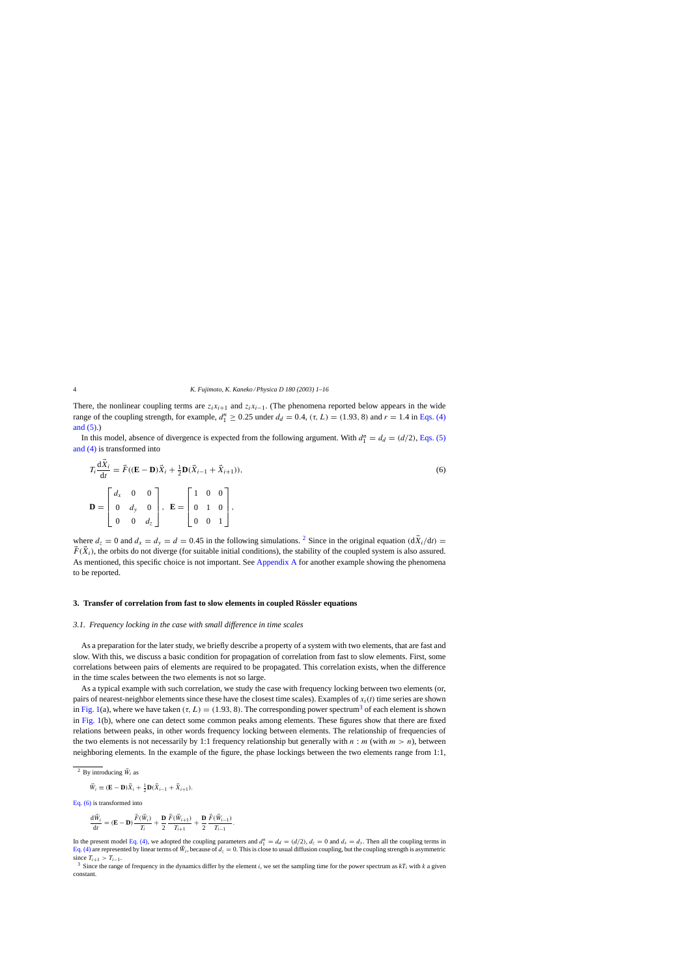<span id="page-3-0"></span>There, the nonlinear coupling terms are  $z_i x_{i+1}$  and  $z_i x_{i-1}$ . (The phenomena reported below appears in the wide range of the coupling strength, for example,  $d_1^n \ge 0.25$  under  $d_d = 0.4$ ,  $(\tau, L) = (1.93, 8)$  and  $r = 1.4$  in [Eqs. \(4\)](#page-2-0) and  $(5)$ .)

In this model, absence of divergence is expected from the following argument. With  $d_1^n = d_d = (d/2)$ , [Eqs. \(5\)](#page-2-0) [and \(4\)](#page-2-0) is transformed into

$$
T_i \frac{dX_i}{dt} = \vec{F}((\mathbf{E} - \mathbf{D})\vec{X}_i + \frac{1}{2}\mathbf{D}(\vec{X}_{i-1} + \vec{X}_{i+1})),
$$
  
\n
$$
\mathbf{D} = \begin{bmatrix} d_x & 0 & 0 \\ 0 & d_y & 0 \\ 0 & 0 & d_z \end{bmatrix}, \quad \mathbf{E} = \begin{bmatrix} 1 & 0 & 0 \\ 0 & 1 & 0 \\ 0 & 0 & 1 \end{bmatrix},
$$
 (6)

where  $d_z = 0$  and  $d_x = d_y = d = 0.45$  in the following simulations. <sup>2</sup> Since in the original equation ( $d\vec{X}_i/dt$ ) =  $\overline{F}(\overline{X}_i)$ , the orbits do not diverge (for suitable initial conditions), the stability of the coupled system is also assured. As mentioned, this specific choice is not important. See [Appendix A](#page-14-0) for another example showing the phenomena to be reported.

# **3. Transfer of correlation from fast to slow elements in coupled Rössler equations**

## *3.1. Frequency locking in the case with small difference in time scales*

As a preparation for the later study, we briefly describe a property of a system with two elements, that are fast and slow. With this, we discuss a basic condition for propagation of correlation from fast to slow elements. First, some correlations between pairs of elements are required to be propagated. This correlation exists, when the difference in the time scales between the two elements is not so large.

As a typical example with such correlation, we study the case with frequency locking between two elements (or, pairs of nearest-neighbor elements since these have the closest time scales). Examples of  $x_i(t)$  time series are shown in [Fig. 1\(a](#page-4-0)), where we have taken  $(\tau, L) = (1.93, 8)$ . The corresponding power spectrum<sup>3</sup> of each element is shown in [Fig. 1\(b](#page-4-0)), where one can detect some common peaks among elements. These figures show that there are fixed relations between peaks, in other words frequency locking between elements. The relationship of frequencies of the two elements is not necessarily by 1:1 frequency relationship but generally with  $n : m$  (with  $m > n$ ), between neighboring elements. In the example of the figure, the phase lockings between the two elements range from 1:1,

<sup>2</sup> By introducing  $\vec{W}_i$  as

 $\vec{W}_i \equiv (\mathbf{E} - \mathbf{D}) \vec{X}_i + \frac{1}{2} \mathbf{D} (\vec{X}_{i-1} + \vec{X}_{i+1}).$ 

Eq. (6) is transformed into

$$
\frac{d\vec{W}_i}{dt} = (\mathbf{E} - \mathbf{D}) \frac{\vec{F}(\vec{W}_i)}{T_i} + \frac{\mathbf{D}}{2} \frac{\vec{F}(\vec{W}_{i+1})}{T_{i+1}} + \frac{\mathbf{D}}{2} \frac{\vec{F}(\vec{W}_{i-1})}{T_{i-1}}.
$$

In the present model [Eq. \(4\), w](#page-2-0)e adopted the coupling parameters and  $d_1^n = d_d = (d/2)$ ,  $d_z = 0$  and  $d_x = d_y$ . Then all the coupling terms in [Eq. \(4\)](#page-2-0) are represented by linear terms of  $\vec{W}_i$ , because of  $d_z = 0$ . This is close to usual diffusion coupling, but the coupling strength is asymmetric since  $T_{i+1} > T_{i-1}$ .

<sup>3</sup> Since the range of frequency in the dynamics differ by the element i, we set the sampling time for the power spectrum as  $kT_i$  with k a given constant.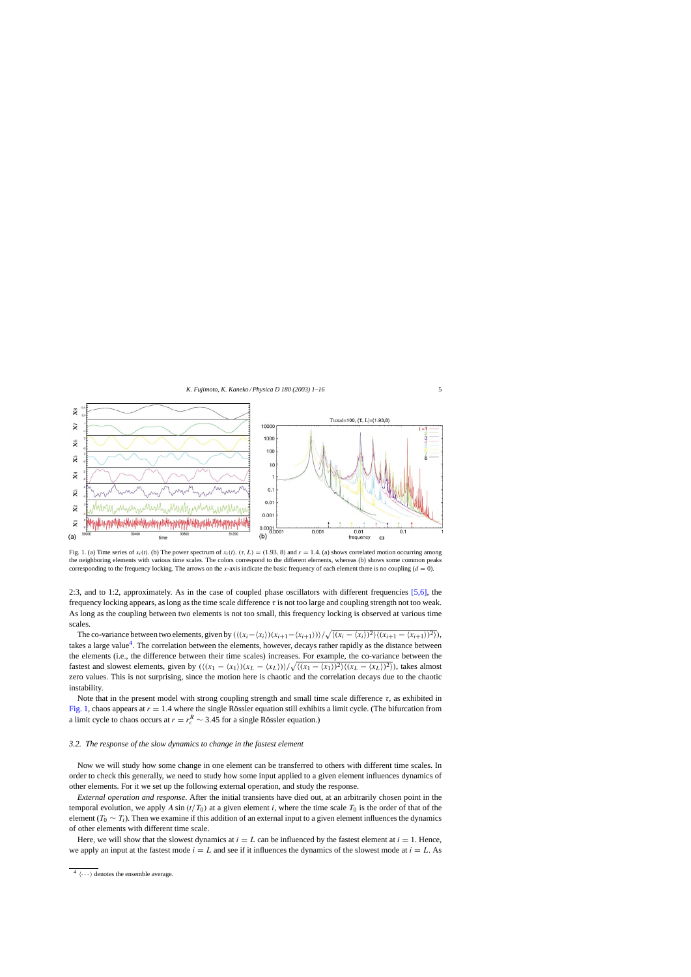<span id="page-4-0"></span>

Fig. 1. (a) Time series of  $x_i(t)$ . (b) The power spectrum of  $x_i(t)$ . ( $\tau$ ,  $L$ ) = (1.93, 8) and  $r = 1.4$ . (a) shows correlated motion occurring among the neighboring elements with various time scales. The colors correspond to the different elements, whereas (b) shows some common peaks corresponding to the frequency locking. The arrows on the x-axis indicate the basic frequency of each element there is no coupling  $(d = 0)$ .

2:3, and to 1:2, approximately. As in the case of coupled phase oscillators with different frequencies  $[5,6]$ , the frequency locking appears, as long as the time scale difference  $\tau$  is not too large and coupling strength not too weak. As long as the coupling between two elements is not too small, this frequency locking is observed at various time scales.

The co-variance between two elements, given by  $(\langle (x_i - \langle x_i \rangle)(x_{i+1} - \langle x_{i+1} \rangle) \rangle / \sqrt{\langle (x_i - \langle x_i \rangle)^2 \rangle (\langle x_{i+1} - \langle x_{i+1} \rangle)^2 \rangle}),$ takes a large value<sup>4</sup>. The correlation between the elements, however, decays rather rapidly as the distance between the elements (i.e., the difference between their time scales) increases. For example, the co-variance between the fastest and slowest elements, given by  $(\langle (x_1 - \langle x_1 \rangle)(x_L - \langle x_L \rangle) \rangle / \sqrt{\langle (x_1 - \langle x_1 \rangle)^2 \rangle / (x_L - \langle x_L \rangle)^2 \rangle})$ , takes almost zero values. This is not surprising, since the motion here is chaotic and the correlation decays due to the chaotic instability.

Note that in the present model with strong coupling strength and small time scale difference  $\tau$ , as exhibited in Fig. 1, chaos appears at  $r = 1.4$  where the single Rössler equation still exhibits a limit cycle. (The bifurcation from a limit cycle to chaos occurs at  $r = r_c^R \sim 3.45$  for a single Rössler equation.)

#### *3.2. The response of the slow dynamics to change in the fastest element*

Now we will study how some change in one element can be transferred to others with different time scales. In order to check this generally, we need to study how some input applied to a given element influences dynamics of other elements. For it we set up the following external operation, and study the response.

*External operation and response*. After the initial transients have died out, at an arbitrarily chosen point in the temporal evolution, we apply A sin  $(t/T_0)$  at a given element i, where the time scale  $T_0$  is the order of that of the element ( $T_0 \sim T_i$ ). Then we examine if this addition of an external input to a given element influences the dynamics of other elements with different time scale.

Here, we will show that the slowest dynamics at  $i = L$  can be influenced by the fastest element at  $i = 1$ . Hence, we apply an input at the fastest mode  $i = L$  and see if it influences the dynamics of the slowest mode at  $i = L$ . As

 $4 \langle \cdots \rangle$  denotes the ensemble average.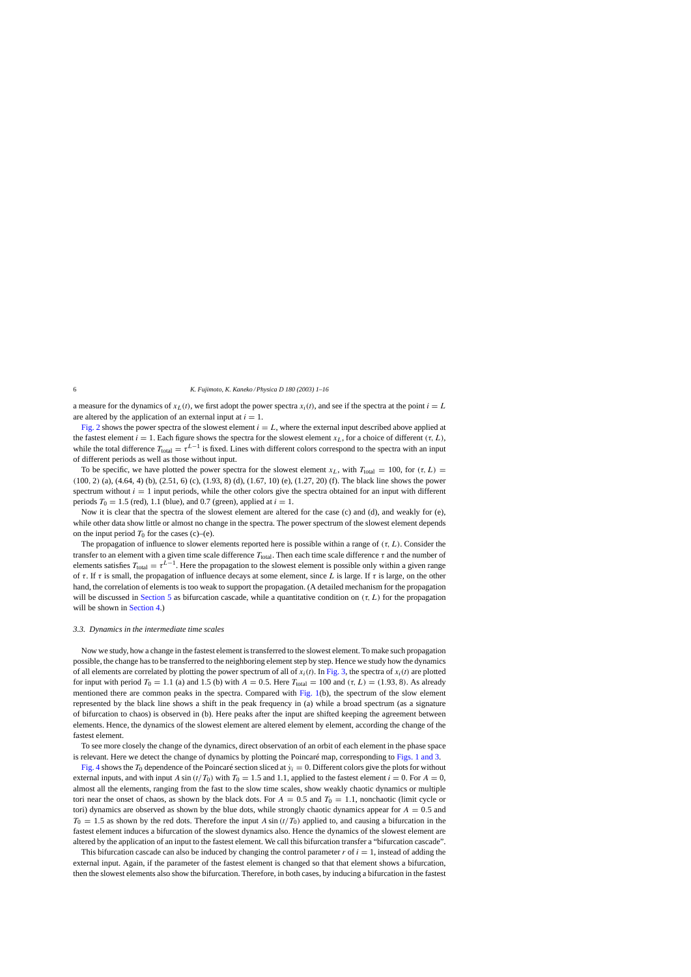a measure for the dynamics of  $x_L(t)$ , we first adopt the power spectra  $x_i(t)$ , and see if the spectra at the point  $i = L$ are altered by the application of an external input at  $i = 1$ .

[Fig. 2](#page-6-0) shows the power spectra of the slowest element  $i = L$ , where the external input described above applied at the fastest element  $i = 1$ . Each figure shows the spectra for the slowest element  $x<sub>L</sub>$ , for a choice of different  $(\tau, L)$ , while the total difference  $T_{total} = \tau^{L-1}$  is fixed. Lines with different colors correspond to the spectra with an input of different periods as well as those without input.

To be specific, we have plotted the power spectra for the slowest element  $x_L$ , with  $T_{total} = 100$ , for  $(\tau, L) =$ (100, 2) (a), (4.64, 4) (b), (2.51, 6) (c), (1.93, 8) (d), (1.67, 10) (e), (1.27, 20) (f). The black line shows the power spectrum without  $i = 1$  input periods, while the other colors give the spectra obtained for an input with different periods  $T_0 = 1.5$  (red), 1.1 (blue), and 0.7 (green), applied at  $i = 1$ .

Now it is clear that the spectra of the slowest element are altered for the case (c) and (d), and weakly for (e), while other data show little or almost no change in the spectra. The power spectrum of the slowest element depends on the input period  $T_0$  for the cases (c)–(e).

The propagation of influence to slower elements reported here is possible within a range of  $(\tau, L)$ . Consider the transfer to an element with a given time scale difference  $T_{total}$ . Then each time scale difference  $\tau$  and the number of elements satisfies  $T_{\text{total}} = \tau^{L-1}$ . Here the propagation to the slowest element is possible only within a given range of  $\tau$ . If  $\tau$  is small, the propagation of influence decays at some element, since L is large. If  $\tau$  is large, on the other hand, the correlation of elements is too weak to support the propagation. (A detailed mechanism for the propagation will be discussed in [Section 5](#page-10-0) as bifurcation cascade, while a quantitative condition on  $(\tau, L)$  for the propagation will be shown in [Section 4.\)](#page-9-0)

#### *3.3. Dynamics in the intermediate time scales*

Now we study, how a change in the fastest element is transferred to the slowest element. To make such propagation possible, the change has to be transferred to the neighboring element step by step. Hence we study how the dynamics of all elements are correlated by plotting the power spectrum of all of  $x_i(t)$ . In [Fig. 3, t](#page-7-0)he spectra of  $x_i(t)$  are plotted for input with period  $T_0 = 1.1$  (a) and 1.5 (b) with  $A = 0.5$ . Here  $T_{total} = 100$  and  $(\tau, L) = (1.93, 8)$ . As already mentioned there are common peaks in the spectra. Compared with [Fig. 1\(b](#page-4-0)), the spectrum of the slow element represented by the black line shows a shift in the peak frequency in (a) while a broad spectrum (as a signature of bifurcation to chaos) is observed in (b). Here peaks after the input are shifted keeping the agreement between elements. Hence, the dynamics of the slowest element are altered element by element, according the change of the fastest element.

To see more closely the change of the dynamics, direct observation of an orbit of each element in the phase space is relevant. Here we detect the change of dynamics by plotting the Poincaré map, corresponding to [Figs. 1 and 3.](#page-4-0)

[Fig. 4](#page-7-0) shows the T<sub>0</sub> dependence of the Poincaré section sliced at  $\dot{y}_i = 0$ . Different colors give the plots for without external inputs, and with input A sin  $(t/T_0)$  with  $T_0 = 1.5$  and 1.1, applied to the fastest element  $i = 0$ . For  $A = 0$ , almost all the elements, ranging from the fast to the slow time scales, show weakly chaotic dynamics or multiple tori near the onset of chaos, as shown by the black dots. For  $A = 0.5$  and  $T_0 = 1.1$ , nonchaotic (limit cycle or tori) dynamics are observed as shown by the blue dots, while strongly chaotic dynamics appear for  $A = 0.5$  and  $T_0 = 1.5$  as shown by the red dots. Therefore the input A sin  $(t/T_0)$  applied to, and causing a bifurcation in the fastest element induces a bifurcation of the slowest dynamics also. Hence the dynamics of the slowest element are altered by the application of an input to the fastest element. We call this bifurcation transfer a "bifurcation cascade".

This bifurcation cascade can also be induced by changing the control parameter r of  $i = 1$ , instead of adding the external input. Again, if the parameter of the fastest element is changed so that that element shows a bifurcation, then the slowest elements also show the bifurcation. Therefore, in both cases, by inducing a bifurcation in the fastest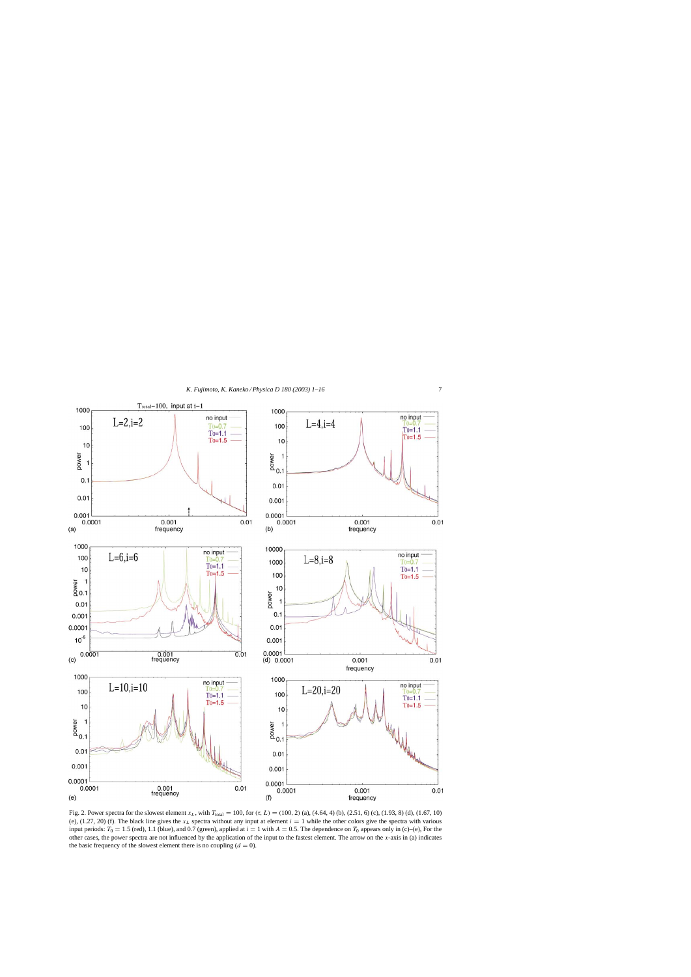<span id="page-6-0"></span>

Fig. 2. Power spectra for the slowest element  $x_L$ , with  $T_{total} = 100$ , for  $(\tau, L) = (100, 2)$  (a), (4.64, 4) (b), (2.51, 6) (c), (1.93, 8) (d), (1.67, 10) (e), (1.27, 20) (f). The black line gives the  $x_L$  spectra without any input at element  $i = 1$  while the other colors give the spectra with various input periods:  $T_0 = 1.5$  (red), 1.1 (blue), and 0.7 (green), applied at  $i = 1$  with  $A = 0.5$ . The dependence on  $T_0$  appears only in (c)–(e), For the other cases, the power spectra are not influenced by the application of the input to the fastest element. The arrow on the x-axis in (a) indicates the basic frequency of the slowest element there is no coupling  $(d = 0)$ .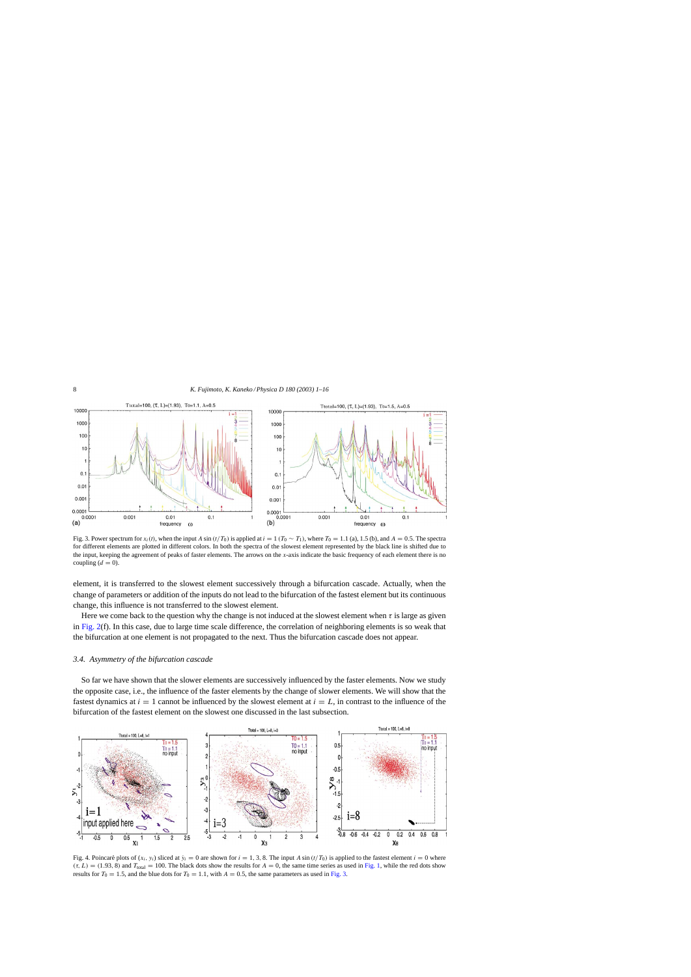<span id="page-7-0"></span>

Fig. 3. Power spectrum for  $x_i(t)$ , when the input A sin  $(t/T_0)$  is applied at  $i = 1$  ( $T_0 \sim T_1$ ), where  $T_0 = 1.1$  (a), 1.5 (b), and  $A = 0.5$ . The spectra for different elements are plotted in different colors. In both the spectra of the slowest element represented by the black line is shifted due to the input, keeping the agreement of peaks of faster elements. The arrows on the x-axis indicate the basic frequency of each element there is no coupling  $(d = 0)$ .

element, it is transferred to the slowest element successively through a bifurcation cascade. Actually, when the change of parameters or addition of the inputs do not lead to the bifurcation of the fastest element but its continuous change, this influence is not transferred to the slowest element.

Here we come back to the question why the change is not induced at the slowest element when  $\tau$  is large as given in Fig.  $2(f)$ . In this case, due to large time scale difference, the correlation of neighboring elements is so weak that the bifurcation at one element is not propagated to the next. Thus the bifurcation cascade does not appear.

### *3.4. Asymmetry of the bifurcation cascade*

So far we have shown that the slower elements are successively influenced by the faster elements. Now we study the opposite case, i.e., the influence of the faster elements by the change of slower elements. We will show that the fastest dynamics at  $i = 1$  cannot be influenced by the slowest element at  $i = L$ , in contrast to the influence of the bifurcation of the fastest element on the slowest one discussed in the last subsection.



Fig. 4. Poincaré plots of  $(x_i, y_i)$  sliced at  $\dot{y}_i = 0$  are shown for  $i = 1, 3, 8$ . The input A sin  $(t/T_0)$  is applied to the fastest element  $i = 0$  where  $(\tau, L) = (1.93, 8)$  and  $T_{\text{total}} = 100$ . The black dots show the results for  $A = 0$ , the same time series as used in [Fig. 1, w](#page-4-0)hile the red dots show results for  $T_0 = 1.5$ , and the blue dots for  $T_0 = 1.1$ , with  $A = 0.5$ , the same parameters as used in Fig. 3.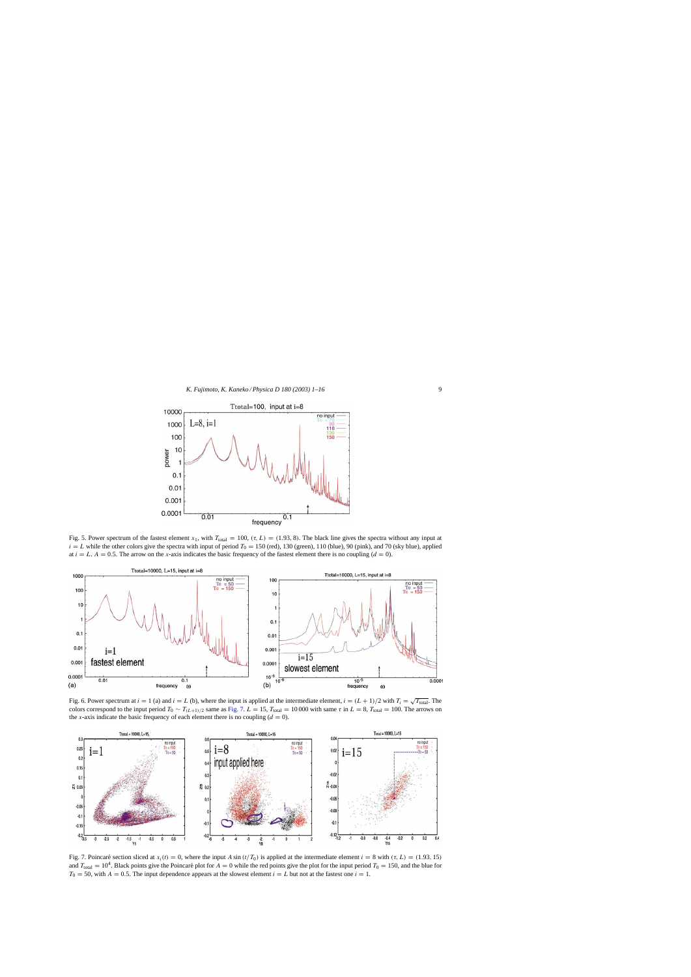<span id="page-8-0"></span>

Fig. 5. Power spectrum of the fastest element  $x_1$ , with  $T_{total} = 100$ ,  $(\tau, L) = (1.93, 8)$ . The black line gives the spectra without any input at  $i = L$  while the other colors give the spectra with input of period  $T_0 = 150$  (red), 130 (green), 110 (blue), 90 (pink), and 70 (sky blue), applied at  $i = L$ .  $A = 0.5$ . The arrow on the x-axis indicates the basic frequency of the fastest element there is no coupling  $(d = 0)$ .



Fig. 6. Power spectrum at  $i = 1$  (a) and  $i = L$  (b), where the input is applied at the intermediate element,  $i = (L + 1)/2$  with  $T_i = \sqrt{T_{total}}$ . The colors correspond to the input period  $T_0 \sim T_{(L+1)/2}$  same as Fig. 7.  $L = 15$ ,  $T_{\text{total}} = 10000$  with same  $\tau$  in  $L = 8$ ,  $T_{\text{total}} = 100$ . The arrows on the x-axis indicate the basic frequency of each element there is no coupling  $(d = 0)$ .



Fig. 7. Poincaré section sliced at  $x_i(t) = 0$ , where the input A sin  $(t/T_0)$  is applied at the intermediate element  $i = 8$  with  $(\tau, L) = (1.93, 15)$ and  $T_{\text{total}} = 10^4$ . Black points give the Poincaré plot for  $A = 0$  while the red points give the plot for the input period  $T_0 = 150$ , and the blue for  $T_0 = 50$ , with  $A = 0.5$ . The input dependence appears at the slowest element  $i = L$  but not at the fastest one  $i = 1$ .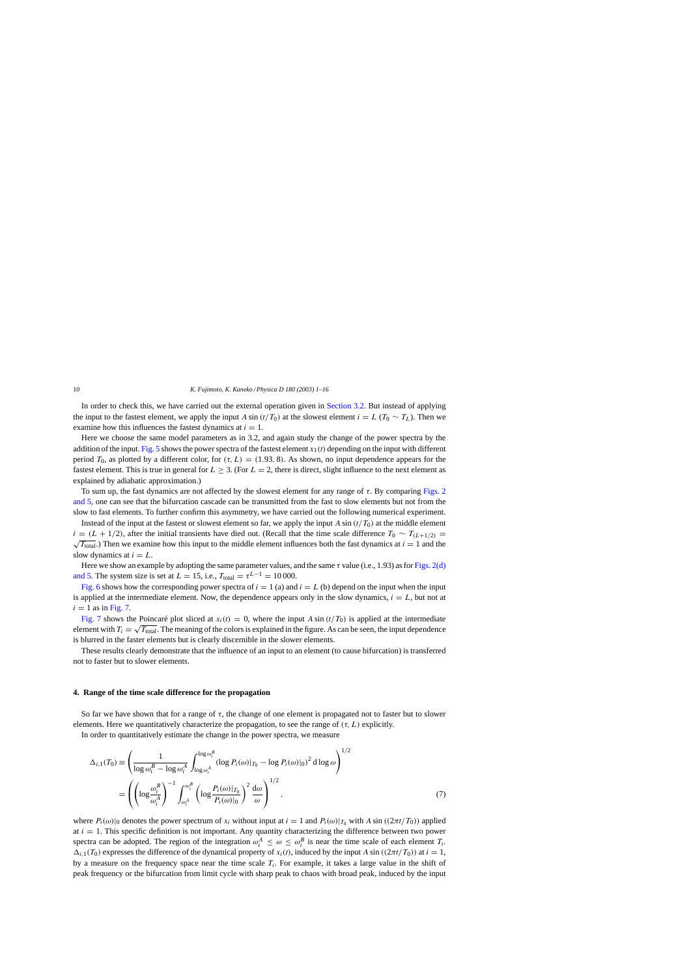<span id="page-9-0"></span>In order to check this, we have carried out the external operation given in [Section 3.2.](#page-4-0) But instead of applying the input to the fastest element, we apply the input A sin  $(t/T_0)$  at the slowest element  $i = L (T_0 \sim T_L)$ . Then we examine how this influences the fastest dynamics at  $i = 1$ .

Here we choose the same model parameters as in 3.2, and again study the change of the power spectra by the addition of the input. [Fig. 5](#page-8-0) shows the power spectra of the fastest element  $x_1(t)$  depending on the input with different period  $T_0$ , as plotted by a different color, for  $(\tau, L) = (1.93, 8)$ . As shown, no input dependence appears for the fastest element. This is true in general for  $L > 3$ . (For  $L = 2$ , there is direct, slight influence to the next element as explained by adiabatic approximation.)

To sum up, the fast dynamics are not affected by the slowest element for any range of  $\tau$ . By comparing [Figs. 2](#page-6-0) [and 5,](#page-6-0) one can see that the bifurcation cascade can be transmitted from the fast to slow elements but not from the slow to fast elements. To further confirm this asymmetry, we have carried out the following numerical experiment.

Instead of the input at the fastest or slowest element so far, we apply the input A sin  $(t/T_0)$  at the middle element  $i = (L + 1/2)$ , after the initial transients have died out. (Recall that the time scale difference  $T_0 \sim T_{(L+1/2)} = \sqrt{T_{\text{total}}}$ .) Then we examine how this input to the middle element influences both the fast dynamics at  $i = 1$ slow dynamics at  $i = L$ .

Here we show an example by adopting the same parameter values, and the same  $\tau$  value (i.e., 1.93) as for [Figs. 2\(d\)](#page-6-0) [and 5.](#page-6-0) The system size is set at  $L = 15$ , i.e.,  $T_{\text{total}} = \tau^{L-1} = 10000$ .

[Fig. 6](#page-8-0) shows how the corresponding power spectra of  $i = 1$  (a) and  $i = L$  (b) depend on the input when the input is applied at the intermediate element. Now, the dependence appears only in the slow dynamics,  $i = L$ , but not at  $i = 1$  as in [Fig. 7.](#page-8-0)

[Fig. 7](#page-8-0) shows the Poincaré plot sliced at  $x_i(t) = 0$ , where the input A sin  $(t/T_0)$  is applied at the intermediate element with  $T_i = \sqrt{T_{total}}$ . The meaning of the colors is explained in the figure. As can be seen, the input dependence is blurred in the faster elements but is clearly discernible in the slower elements.

These results clearly demonstrate that the influence of an input to an element (to cause bifurcation) is transferred not to faster but to slower elements.

## **4. Range of the time scale difference for the propagation**

So far we have shown that for a range of  $\tau$ , the change of one element is propagated not to faster but to slower elements. Here we quantitatively characterize the propagation, to see the range of  $(\tau, L)$  explicitly.

In order to quantitatively estimate the change in the power spectra, we measure

$$
\Delta_{i,1}(T_0) \equiv \left(\frac{1}{\log \omega_i^B - \log \omega_i^A} \int_{\log \omega_i^A}^{\log \omega_i^B} (\log P_i(\omega)|_{T_0} - \log P_i(\omega)|_0)^2 d \log \omega\right)^{1/2}
$$

$$
= \left(\left(\log \frac{\omega_i^B}{\omega_i^A}\right)^{-1} \int_{\omega_i^A}^{\omega_i^B} \left(\log \frac{P_i(\omega)|_{T_0}}{P_i(\omega)|_0}\right)^2 \frac{d\omega}{\omega}\right)^{1/2},\tag{7}
$$

where  $P_i(\omega)|_0$  denotes the power spectrum of  $x_i$  without input at  $i = 1$  and  $P_i(\omega)|_{T_0}$  with A sin ((2 $\pi t/T_0$ )) applied at  $i = 1$ . This specific definition is not important. Any quantity characterizing the difference between two power spectra can be adopted. The region of the integration  $\omega_i^A \leq \omega \leq \omega_i^B$  is near the time scale of each element  $T_i$ .  $\Delta_{i,1}(T_0)$  expresses the difference of the dynamical property of  $x_i(t)$ , induced by the input A sin  $((2\pi t/T_0))$  at  $i = 1$ , by a measure on the frequency space near the time scale  $T_i$ . For example, it takes a large value in the shift of peak frequency or the bifurcation from limit cycle with sharp peak to chaos with broad peak, induced by the input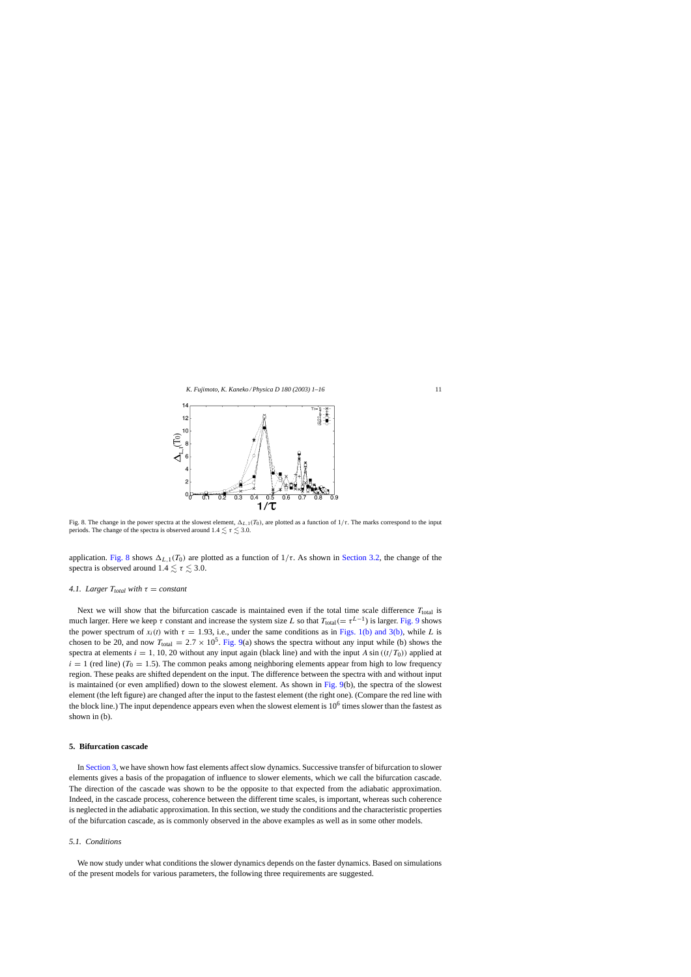<span id="page-10-0"></span>

Fig. 8. The change in the power spectra at the slowest element,  $\Delta_{L,1}(T_0)$ , are plotted as a function of  $1/\tau$ . The marks correspond to the input periods. The change of the spectra is observed around  $1.4 \lesssim \tau \lesssim 3.0$ .

application. Fig. 8 shows  $\Delta_{L,1}(T_0)$  are plotted as a function of  $1/\tau$ . As shown in [Section 3.2,](#page-4-0) the change of the spectra is observed around  $1.4 \lesssim \tau \lesssim 3.0$ .

# *4.1. Larger*  $T_{total}$  *with*  $\tau = constant$

Next we will show that the bifurcation cascade is maintained even if the total time scale difference  $T_{total}$  is much larger. Here we keep  $\tau$  constant and increase the system size L so that  $T_{total}(=\tau^{L-1})$  is larger. [Fig. 9](#page-11-0) shows the power spectrum of  $x_i(t)$  with  $\tau = 1.93$ , i.e., under the same conditions as in [Figs. 1\(b\) and 3\(b\),](#page-4-0) while L is chosen to be 20, and now  $T_{\text{total}} = 2.7 \times 10^5$ . [Fig. 9\(a](#page-11-0)) shows the spectra without any input while (b) shows the spectra at elements  $i = 1, 10, 20$  without any input again (black line) and with the input A sin  $((t/T_0))$  applied at  $i = 1$  (red line) ( $T_0 = 1.5$ ). The common peaks among neighboring elements appear from high to low frequency region. These peaks are shifted dependent on the input. The difference between the spectra with and without input is maintained (or even amplified) down to the slowest element. As shown in [Fig. 9\(b](#page-11-0)), the spectra of the slowest element (the left figure) are changed after the input to the fastest element (the right one). (Compare the red line with the block line.) The input dependence appears even when the slowest element is  $10<sup>6</sup>$  times slower than the fastest as shown in (b).

#### **5. Bifurcation cascade**

In [Section 3, w](#page-3-0)e have shown how fast elements affect slow dynamics. Successive transfer of bifurcation to slower elements gives a basis of the propagation of influence to slower elements, which we call the bifurcation cascade. The direction of the cascade was shown to be the opposite to that expected from the adiabatic approximation. Indeed, in the cascade process, coherence between the different time scales, is important, whereas such coherence is neglected in the adiabatic approximation. In this section, we study the conditions and the characteristic properties of the bifurcation cascade, as is commonly observed in the above examples as well as in some other models.

#### *5.1. Conditions*

We now study under what conditions the slower dynamics depends on the faster dynamics. Based on simulations of the present models for various parameters, the following three requirements are suggested.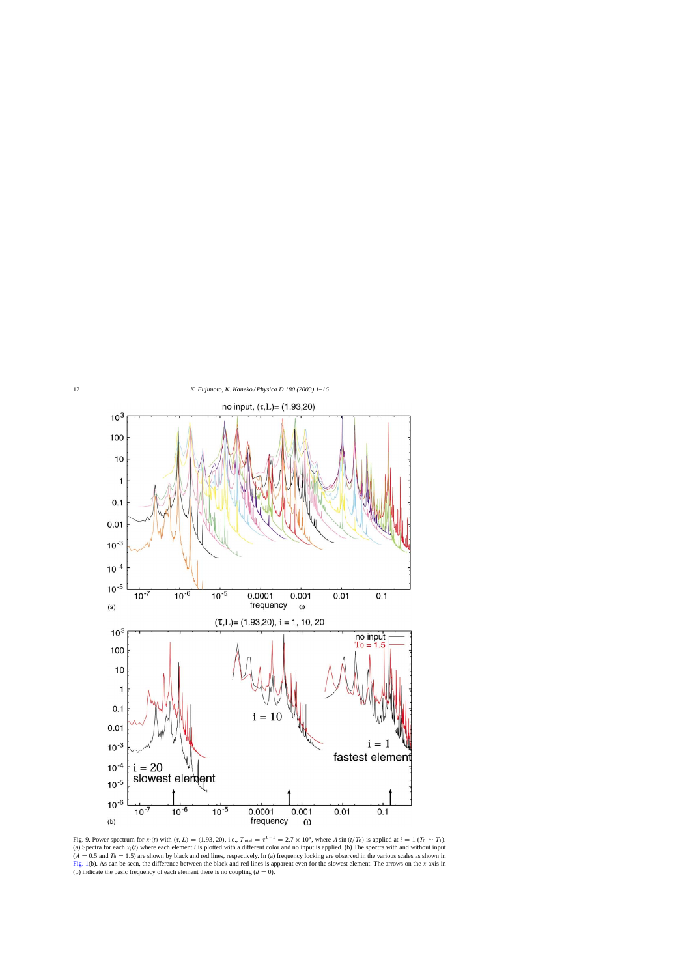<span id="page-11-0"></span>

Fig. 9. Power spectrum for  $x_i(t)$  with  $(\tau, L) = (1.93, 20)$ , i.e.,  $T_{\text{total}} = \tau^{L-1} = 2.7 \times 10^5$ , where A sin  $(t/T_0)$  is applied at  $i = 1$   $(T_0 \sim T_1)$ . (a) Spectra for each  $x_i(t)$  where each element i is plotted with a different color and no input is applied. (b) The spectra with and without input  $(A = 0.5 \text{ and } T_0 = 1.5)$  are shown by black and red lines, respectively. In (a) frequency locking are observed in the various scales as shown in [Fig. 1\(b](#page-4-0)). As can be seen, the difference between the black and red lines is apparent even for the slowest element. The arrows on the x-axis in (b) indicate the basic frequency of each element there is no coupling  $(d = 0)$ .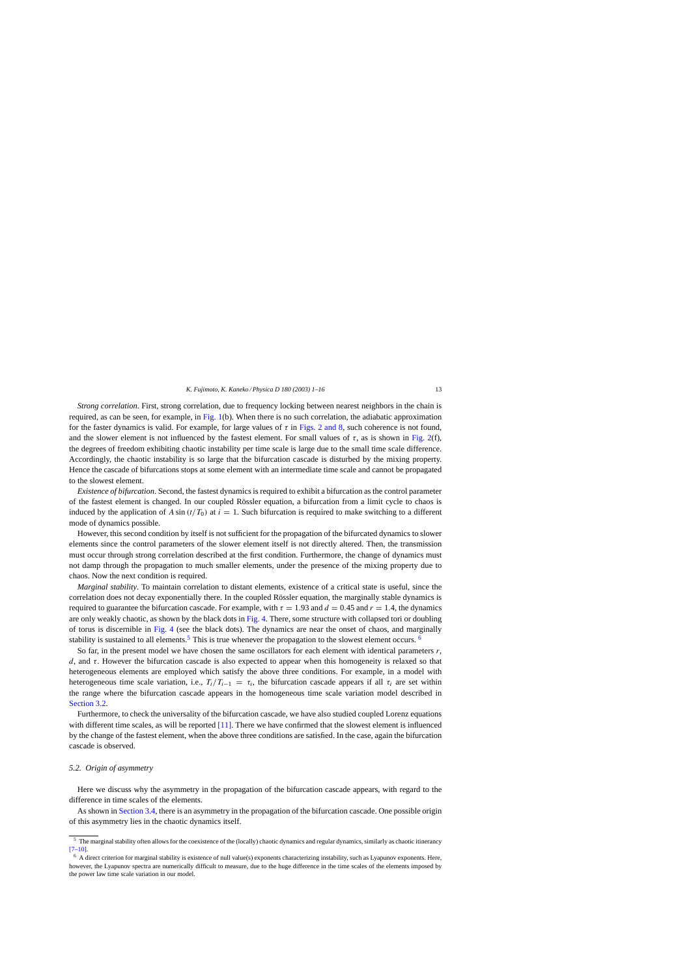*Strong correlation*. First, strong correlation, due to frequency locking between nearest neighbors in the chain is required, as can be seen, for example, in [Fig. 1\(b](#page-4-0)). When there is no such correlation, the adiabatic approximation for the faster dynamics is valid. For example, for large values of  $\tau$  in [Figs. 2 and 8,](#page-6-0) such coherence is not found, and the slower element is not influenced by the fastest element. For small values of  $\tau$ , as is shown in [Fig. 2\(f](#page-6-0)), the degrees of freedom exhibiting chaotic instability per time scale is large due to the small time scale difference. Accordingly, the chaotic instability is so large that the bifurcation cascade is disturbed by the mixing property. Hence the cascade of bifurcations stops at some element with an intermediate time scale and cannot be propagated to the slowest element.

*Existence of bifurcation*. Second, the fastest dynamics is required to exhibit a bifurcation as the control parameter of the fastest element is changed. In our coupled Rössler equation, a bifurcation from a limit cycle to chaos is induced by the application of A sin  $(t/T_0)$  at  $i = 1$ . Such bifurcation is required to make switching to a different mode of dynamics possible.

However, this second condition by itself is not sufficient for the propagation of the bifurcated dynamics to slower elements since the control parameters of the slower element itself is not directly altered. Then, the transmission must occur through strong correlation described at the first condition. Furthermore, the change of dynamics must not damp through the propagation to much smaller elements, under the presence of the mixing property due to chaos. Now the next condition is required.

*Marginal stability*. To maintain correlation to distant elements, existence of a critical state is useful, since the correlation does not decay exponentially there. In the coupled Rössler equation, the marginally stable dynamics is required to guarantee the bifurcation cascade. For example, with  $\tau = 1.93$  and  $d = 0.45$  and  $r = 1.4$ , the dynamics are only weakly chaotic, as shown by the black dots in [Fig. 4. T](#page-7-0)here, some structure with collapsed tori or doubling of torus is discernible in [Fig. 4](#page-7-0) (see the black dots). The dynamics are near the onset of chaos, and marginally stability is sustained to all elements.<sup>5</sup> This is true whenever the propagation to the slowest element occurs.  $\frac{6}{1}$ 

So far, in the present model we have chosen the same oscillators for each element with identical parameters  $r$ , d, and  $\tau$ . However the bifurcation cascade is also expected to appear when this homogeneity is relaxed so that heterogeneous elements are employed which satisfy the above three conditions. For example, in a model with heterogeneous time scale variation, i.e.,  $T_i/T_{i-1} = \tau_i$ , the bifurcation cascade appears if all  $\tau_i$  are set within the range where the bifurcation cascade appears in the homogeneous time scale variation model described in [Section 3.2.](#page-4-0)

Furthermore, to check the universality of the bifurcation cascade, we have also studied coupled Lorenz equations with different time scales, as will be reported  $[11]$ . There we have confirmed that the slowest element is influenced by the change of the fastest element, when the above three conditions are satisfied. In the case, again the bifurcation cascade is observed.

#### *5.2. Origin of asymmetry*

Here we discuss why the asymmetry in the propagation of the bifurcation cascade appears, with regard to the difference in time scales of the elements.

As shown in [Section 3.4, t](#page-7-0)here is an asymmetry in the propagation of the bifurcation cascade. One possible origin of this asymmetry lies in the chaotic dynamics itself.

 $5$  The marginal stability often allows for the coexistence of the (locally) chaotic dynamics and regular dynamics, similarly as chaotic itinerancy [\[7–10\].](#page-15-0)

<sup>6</sup> A direct criterion for marginal stability is existence of null value(s) exponents characterizing instability, such as Lyapunov exponents. Here, however, the Lyapunov spectra are numerically difficult to measure, due to the huge difference in the time scales of the elements imposed by the power law time scale variation in our model.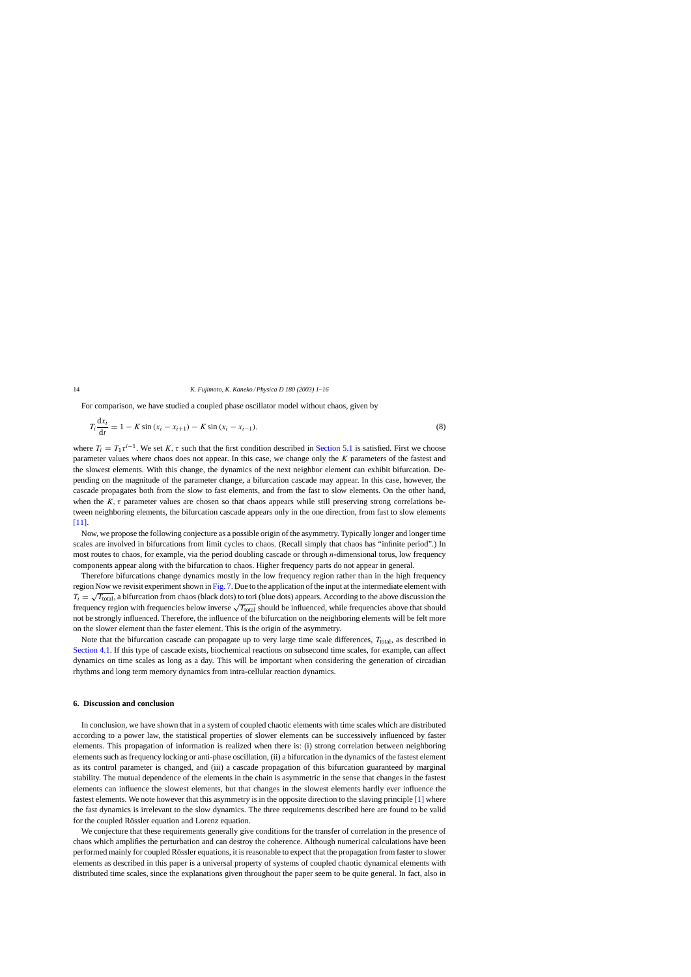<span id="page-13-0"></span>For comparison, we have studied a coupled phase oscillator model without chaos, given by

$$
T_i \frac{dx_i}{dt} = 1 - K \sin(x_i - x_{i+1}) - K \sin(x_i - x_{i-1}),
$$
\n(8)

where  $T_i = T_1 \tau^{i-1}$ . We set K,  $\tau$  such that the first condition described in [Section 5.1](#page-10-0) is satisfied. First we choose parameter values where chaos does not appear. In this case, we change only the K parameters of the fastest and the slowest elements. With this change, the dynamics of the next neighbor element can exhibit bifurcation. Depending on the magnitude of the parameter change, a bifurcation cascade may appear. In this case, however, the cascade propagates both from the slow to fast elements, and from the fast to slow elements. On the other hand, when the K,  $\tau$  parameter values are chosen so that chaos appears while still preserving strong correlations between neighboring elements, the bifurcation cascade appears only in the one direction, from fast to slow elements [\[11\].](#page-15-0)

Now, we propose the following conjecture as a possible origin of the asymmetry. Typically longer and longer time scales are involved in bifurcations from limit cycles to chaos. (Recall simply that chaos has "infinite period".) In most routes to chaos, for example, via the period doubling cascade or through  $n$ -dimensional torus, low frequency components appear along with the bifurcation to chaos. Higher frequency parts do not appear in general.

Therefore bifurcations change dynamics mostly in the low frequency region rather than in the high frequency region Now we revisit experiment shown in [Fig. 7. D](#page-8-0)ue to the application of the input at the intermediate element with  $T_i = \sqrt{T_{\text{total}}}$ , a bifurcation from chaos (black dots) to tori (blue dots) appears. According to the above discussion the frequency region with frequencies below inverse  $\sqrt{T_{total}}$  should be influenced, while frequencies above that should not be strongly influenced. Therefore, the influence of the bifurcation on the neighboring elements will be felt more on the slower element than the faster element. This is the origin of the asymmetry.

Note that the bifurcation cascade can propagate up to very large time scale differences,  $T_{total}$ , as described in [Section 4.1.](#page-10-0) If this type of cascade exists, biochemical reactions on subsecond time scales, for example, can affect dynamics on time scales as long as a day. This will be important when considering the generation of circadian rhythms and long term memory dynamics from intra-cellular reaction dynamics.

#### **6. Discussion and conclusion**

In conclusion, we have shown that in a system of coupled chaotic elements with time scales which are distributed according to a power law, the statistical properties of slower elements can be successively influenced by faster elements. This propagation of information is realized when there is: (i) strong correlation between neighboring elements such as frequency locking or anti-phase oscillation, (ii) a bifurcation in the dynamics of the fastest element as its control parameter is changed, and (iii) a cascade propagation of this bifurcation guaranteed by marginal stability. The mutual dependence of the elements in the chain is asymmetric in the sense that changes in the fastest elements can influence the slowest elements, but that changes in the slowest elements hardly ever influence the fastest elements. We note however that this asymmetry is in the opposite direction to the slaving principle [\[1\]](#page-15-0) where the fast dynamics is irrelevant to the slow dynamics. The three requirements described here are found to be valid for the coupled Rössler equation and Lorenz equation.

We conjecture that these requirements generally give conditions for the transfer of correlation in the presence of chaos which amplifies the perturbation and can destroy the coherence. Although numerical calculations have been performed mainly for coupled Rössler equations, it is reasonable to expect that the propagation from faster to slower elements as described in this paper is a universal property of systems of coupled chaotic dynamical elements with distributed time scales, since the explanations given throughout the paper seem to be quite general. In fact, also in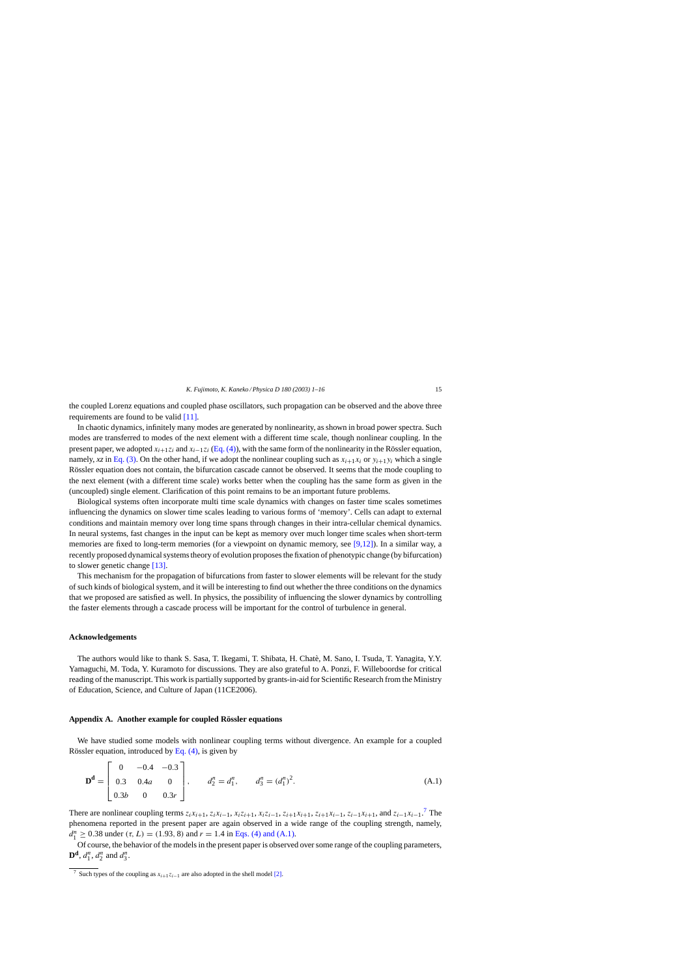<span id="page-14-0"></span>the coupled Lorenz equations and coupled phase oscillators, such propagation can be observed and the above three requirements are found to be valid [\[11\].](#page-15-0)

In chaotic dynamics, infinitely many modes are generated by nonlinearity, as shown in broad power spectra. Such modes are transferred to modes of the next element with a different time scale, though nonlinear coupling. In the present paper, we adopted  $x_{i+1}z_i$  and  $x_{i-1}z_i$  ([Eq. \(4\)\),](#page-2-0) with the same form of the nonlinearity in the Rössler equation, namely, xz in [Eq. \(3\). O](#page-2-0)n the other hand, if we adopt the nonlinear coupling such as  $x_{i+1}x_i$  or  $y_{i+1}y_i$  which a single Rössler equation does not contain, the bifurcation cascade cannot be observed. It seems that the mode coupling to the next element (with a different time scale) works better when the coupling has the same form as given in the (uncoupled) single element. Clarification of this point remains to be an important future problems.

Biological systems often incorporate multi time scale dynamics with changes on faster time scales sometimes influencing the dynamics on slower time scales leading to various forms of 'memory'. Cells can adapt to external conditions and maintain memory over long time spans through changes in their intra-cellular chemical dynamics. In neural systems, fast changes in the input can be kept as memory over much longer time scales when short-term memories are fixed to long-term memories (for a viewpoint on dynamic memory, see [\[9,12\]\).](#page-15-0) In a similar way, a recently proposed dynamical systems theory of evolution proposes the fixation of phenotypic change (by bifurcation) to slower genetic change [\[13\].](#page-15-0)

This mechanism for the propagation of bifurcations from faster to slower elements will be relevant for the study of such kinds of biological system, and it will be interesting to find out whether the three conditions on the dynamics that we proposed are satisfied as well. In physics, the possibility of influencing the slower dynamics by controlling the faster elements through a cascade process will be important for the control of turbulence in general.

#### **Acknowledgements**

The authors would like to thank S. Sasa, T. Ikegami, T. Shibata, H. Chatè, M. Sano, I. Tsuda, T. Yanagita, Y.Y. Yamaguchi, M. Toda, Y. Kuramoto for discussions. They are also grateful to A. Ponzi, F. Willeboordse for critical reading of the manuscript. This work is partially supported by grants-in-aid for Scientific Research from the Ministry of Education, Science, and Culture of Japan (11CE2006).

## **Appendix A. Another example for coupled Rössler equations**

We have studied some models with nonlinear coupling terms without divergence. An example for a coupled Rössler equation, introduced by Eq.  $(4)$ , is given by

$$
\mathbf{D}^{\mathbf{d}} = \begin{bmatrix} 0 & -0.4 & -0.3 \\ 0.3 & 0.4a & 0 \\ 0.3b & 0 & 0.3r \end{bmatrix}, \quad d_2^n = d_1^n, \quad d_3^n = (d_1^n)^2.
$$
 (A.1)

There are nonlinear coupling terms  $z_i x_{i+1}, z_i x_{i-1}, x_i z_{i+1}, x_i z_{i-1}, z_{i+1} x_{i+1}, z_{i+1} x_{i-1}, z_{i-1} x_{i+1}$ , and  $z_{i-1} x_{i-1}$ .<sup>7</sup> The phenomena reported in the present paper are again observed in a wide range of the coupling strength, namely,  $d_1^n \ge 0.38$  under  $(\tau, L) = (1.93, 8)$  and  $r = 1.4$  in [Eqs. \(4\) and \(A.1\).](#page-2-0)

Of course, the behavior of the models in the present paper is observed over some range of the coupling parameters,  $\mathbf{D}^{\mathbf{d}}, d_1^n, d_2^n$  and  $d_3^n$ .

<sup>&</sup>lt;sup>7</sup> Such types of the coupling as  $x_{i+1}z_{i-1}$  are also adopted in the shell model [\[2\].](#page-15-0)